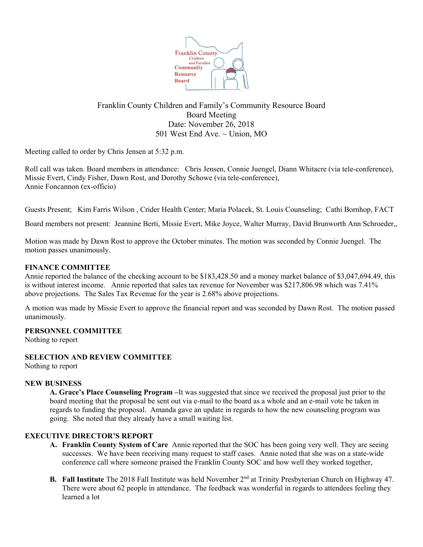

# Franklin County Children and Family's Community Resource Board Board Meeting Date: November 26, 2018 501 West End Ave. ~ Union, MO

Meeting called to order by Chris Jensen at 5:32 p.m.

Roll call was taken. Board members in attendance: Chris Jensen, Connie Juengel, Diann Whitacre (via tele-conference), Missie Evert, Cindy Fisher, Dawn Rost, and Dorothy Schowe (via tele-conference), Annie Foncannon (ex-officio)

Guests Present; Kim Farris Wilson , Crider Health Center; Maria Polacek, St. Louis Counseling; Cathi Bornhop, FACT

Board members not present: Jeannine Berti, Missie Evert, Mike Joyce, Walter Murray, David Brunworth Ann Schroeder,,

Motion was made by Dawn Rost to approve the October minutes. The motion was seconded by Connie Juengel. The motion passes unanimously.

# **FINANCE COMMITTEE**

Annie reported the balance of the checking account to be \$183,428.50 and a money market balance of \$3,047,694.49, this is without interest income. Annie reported that sales tax revenue for November was \$217,806.98 which was 7.41% above projections. The Sales Tax Revenue for the year is 2.68% above projections.

A motion was made by Missie Evert to approve the financial report and was seconded by Dawn Rost. The motion passed unanimously.

## **PERSONNEL COMMITTEE**

Nothing to report

## **SELECTION AND REVIEW COMMITTEE**

Nothing to report

#### **NEW BUSINESS**

**A. Grace's Place Counseling Program –**It was suggested that since we received the proposal just prior to the board meeting that the proposal be sent out via e-mail to the board as a whole and an e-mail vote be taken in regards to funding the proposal. Amanda gave an update in regards to how the new counseling program was going. She noted that they already have a small waiting list.

## **EXECUTIVE DIRECTOR'S REPORT**

- **A. Franklin County System of Care** Annie reported that the SOC has been going very well. They are seeing successes. We have been receiving many request to staff cases. Annie noted that she was on a state-wide conference call where someone praised the Franklin County SOC and how well they worked together,
- **B.** Fall Institute The 2018 Fall Institute was held November 2<sup>nd</sup> at Trinity Presbyterian Church on Highway 47. There were about 62 people in attendance. The feedback was wonderful in regards to attendees feeling they learned a lot